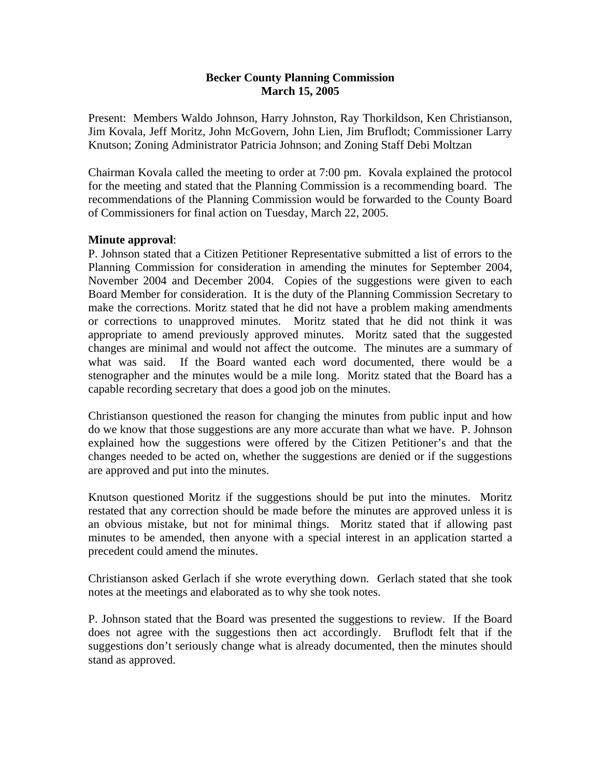#### **Becker County Planning Commission March 15, 2005**

Present: Members Waldo Johnson, Harry Johnston, Ray Thorkildson, Ken Christianson, Jim Kovala, Jeff Moritz, John McGovern, John Lien, Jim Bruflodt; Commissioner Larry Knutson; Zoning Administrator Patricia Johnson; and Zoning Staff Debi Moltzan

Chairman Kovala called the meeting to order at 7:00 pm. Kovala explained the protocol for the meeting and stated that the Planning Commission is a recommending board. The recommendations of the Planning Commission would be forwarded to the County Board of Commissioners for final action on Tuesday, March 22, 2005.

#### **Minute approval**:

P. Johnson stated that a Citizen Petitioner Representative submitted a list of errors to the Planning Commission for consideration in amending the minutes for September 2004, November 2004 and December 2004. Copies of the suggestions were given to each Board Member for consideration. It is the duty of the Planning Commission Secretary to make the corrections. Moritz stated that he did not have a problem making amendments or corrections to unapproved minutes. Moritz stated that he did not think it was appropriate to amend previously approved minutes. Moritz sated that the suggested changes are minimal and would not affect the outcome. The minutes are a summary of what was said. If the Board wanted each word documented, there would be a stenographer and the minutes would be a mile long. Moritz stated that the Board has a capable recording secretary that does a good job on the minutes.

Christianson questioned the reason for changing the minutes from public input and how do we know that those suggestions are any more accurate than what we have. P. Johnson explained how the suggestions were offered by the Citizen Petitioner's and that the changes needed to be acted on, whether the suggestions are denied or if the suggestions are approved and put into the minutes.

Knutson questioned Moritz if the suggestions should be put into the minutes. Moritz restated that any correction should be made before the minutes are approved unless it is an obvious mistake, but not for minimal things. Moritz stated that if allowing past minutes to be amended, then anyone with a special interest in an application started a precedent could amend the minutes.

Christianson asked Gerlach if she wrote everything down. Gerlach stated that she took notes at the meetings and elaborated as to why she took notes.

P. Johnson stated that the Board was presented the suggestions to review. If the Board does not agree with the suggestions then act accordingly. Bruflodt felt that if the suggestions don't seriously change what is already documented, then the minutes should stand as approved.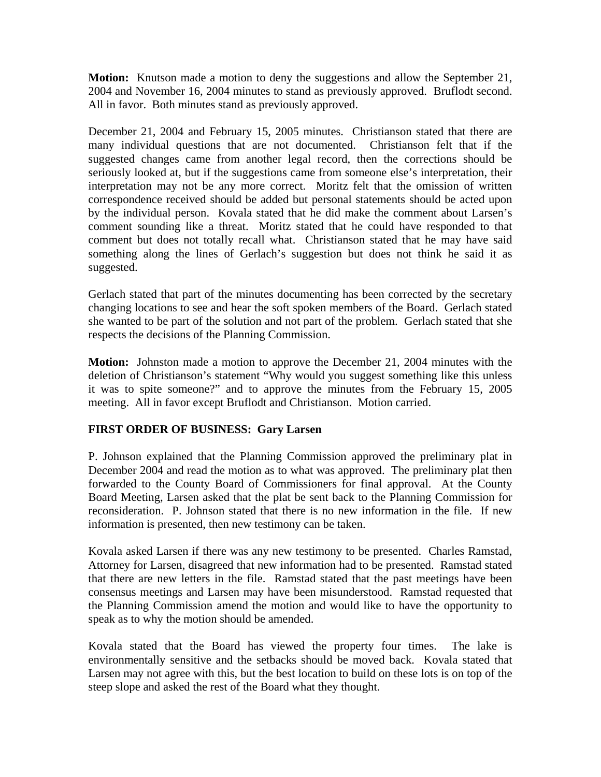**Motion:** Knutson made a motion to deny the suggestions and allow the September 21, 2004 and November 16, 2004 minutes to stand as previously approved. Bruflodt second. All in favor. Both minutes stand as previously approved.

December 21, 2004 and February 15, 2005 minutes. Christianson stated that there are many individual questions that are not documented. Christianson felt that if the suggested changes came from another legal record, then the corrections should be seriously looked at, but if the suggestions came from someone else's interpretation, their interpretation may not be any more correct. Moritz felt that the omission of written correspondence received should be added but personal statements should be acted upon by the individual person. Kovala stated that he did make the comment about Larsen's comment sounding like a threat. Moritz stated that he could have responded to that comment but does not totally recall what. Christianson stated that he may have said something along the lines of Gerlach's suggestion but does not think he said it as suggested.

Gerlach stated that part of the minutes documenting has been corrected by the secretary changing locations to see and hear the soft spoken members of the Board. Gerlach stated she wanted to be part of the solution and not part of the problem. Gerlach stated that she respects the decisions of the Planning Commission.

**Motion:** Johnston made a motion to approve the December 21, 2004 minutes with the deletion of Christianson's statement "Why would you suggest something like this unless it was to spite someone?" and to approve the minutes from the February 15, 2005 meeting. All in favor except Bruflodt and Christianson. Motion carried.

# **FIRST ORDER OF BUSINESS: Gary Larsen**

P. Johnson explained that the Planning Commission approved the preliminary plat in December 2004 and read the motion as to what was approved. The preliminary plat then forwarded to the County Board of Commissioners for final approval. At the County Board Meeting, Larsen asked that the plat be sent back to the Planning Commission for reconsideration. P. Johnson stated that there is no new information in the file. If new information is presented, then new testimony can be taken.

Kovala asked Larsen if there was any new testimony to be presented. Charles Ramstad, Attorney for Larsen, disagreed that new information had to be presented. Ramstad stated that there are new letters in the file. Ramstad stated that the past meetings have been consensus meetings and Larsen may have been misunderstood. Ramstad requested that the Planning Commission amend the motion and would like to have the opportunity to speak as to why the motion should be amended.

Kovala stated that the Board has viewed the property four times. The lake is environmentally sensitive and the setbacks should be moved back. Kovala stated that Larsen may not agree with this, but the best location to build on these lots is on top of the steep slope and asked the rest of the Board what they thought.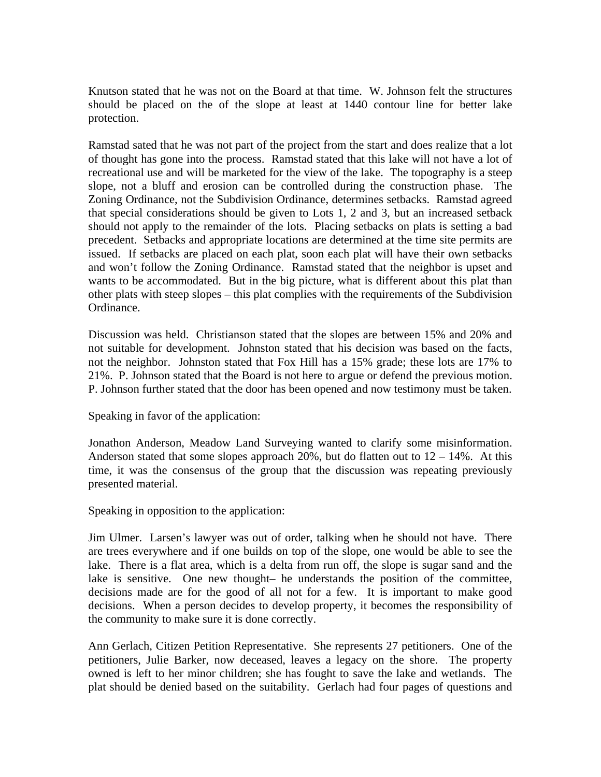Knutson stated that he was not on the Board at that time. W. Johnson felt the structures should be placed on the of the slope at least at 1440 contour line for better lake protection.

Ramstad sated that he was not part of the project from the start and does realize that a lot of thought has gone into the process. Ramstad stated that this lake will not have a lot of recreational use and will be marketed for the view of the lake. The topography is a steep slope, not a bluff and erosion can be controlled during the construction phase. The Zoning Ordinance, not the Subdivision Ordinance, determines setbacks. Ramstad agreed that special considerations should be given to Lots 1, 2 and 3, but an increased setback should not apply to the remainder of the lots. Placing setbacks on plats is setting a bad precedent. Setbacks and appropriate locations are determined at the time site permits are issued. If setbacks are placed on each plat, soon each plat will have their own setbacks and won't follow the Zoning Ordinance. Ramstad stated that the neighbor is upset and wants to be accommodated. But in the big picture, what is different about this plat than other plats with steep slopes – this plat complies with the requirements of the Subdivision Ordinance.

Discussion was held. Christianson stated that the slopes are between 15% and 20% and not suitable for development. Johnston stated that his decision was based on the facts, not the neighbor. Johnston stated that Fox Hill has a 15% grade; these lots are 17% to 21%. P. Johnson stated that the Board is not here to argue or defend the previous motion. P. Johnson further stated that the door has been opened and now testimony must be taken.

Speaking in favor of the application:

Jonathon Anderson, Meadow Land Surveying wanted to clarify some misinformation. Anderson stated that some slopes approach  $20\%$ , but do flatten out to  $12 - 14\%$ . At this time, it was the consensus of the group that the discussion was repeating previously presented material.

Speaking in opposition to the application:

Jim Ulmer. Larsen's lawyer was out of order, talking when he should not have. There are trees everywhere and if one builds on top of the slope, one would be able to see the lake. There is a flat area, which is a delta from run off, the slope is sugar sand and the lake is sensitive. One new thought– he understands the position of the committee, decisions made are for the good of all not for a few. It is important to make good decisions. When a person decides to develop property, it becomes the responsibility of the community to make sure it is done correctly.

Ann Gerlach, Citizen Petition Representative. She represents 27 petitioners. One of the petitioners, Julie Barker, now deceased, leaves a legacy on the shore. The property owned is left to her minor children; she has fought to save the lake and wetlands. The plat should be denied based on the suitability. Gerlach had four pages of questions and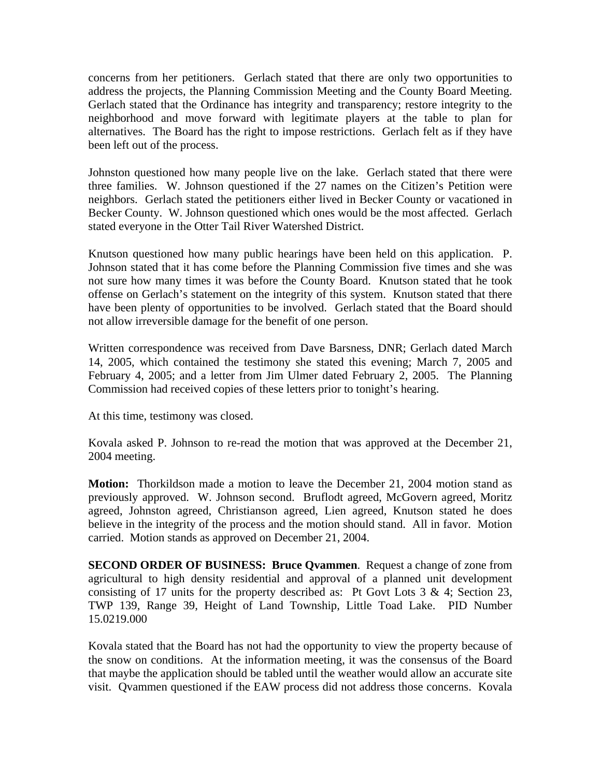concerns from her petitioners. Gerlach stated that there are only two opportunities to address the projects, the Planning Commission Meeting and the County Board Meeting. Gerlach stated that the Ordinance has integrity and transparency; restore integrity to the neighborhood and move forward with legitimate players at the table to plan for alternatives. The Board has the right to impose restrictions. Gerlach felt as if they have been left out of the process.

Johnston questioned how many people live on the lake. Gerlach stated that there were three families. W. Johnson questioned if the 27 names on the Citizen's Petition were neighbors. Gerlach stated the petitioners either lived in Becker County or vacationed in Becker County. W. Johnson questioned which ones would be the most affected. Gerlach stated everyone in the Otter Tail River Watershed District.

Knutson questioned how many public hearings have been held on this application. P. Johnson stated that it has come before the Planning Commission five times and she was not sure how many times it was before the County Board. Knutson stated that he took offense on Gerlach's statement on the integrity of this system. Knutson stated that there have been plenty of opportunities to be involved. Gerlach stated that the Board should not allow irreversible damage for the benefit of one person.

Written correspondence was received from Dave Barsness, DNR; Gerlach dated March 14, 2005, which contained the testimony she stated this evening; March 7, 2005 and February 4, 2005; and a letter from Jim Ulmer dated February 2, 2005. The Planning Commission had received copies of these letters prior to tonight's hearing.

At this time, testimony was closed.

Kovala asked P. Johnson to re-read the motion that was approved at the December 21, 2004 meeting.

**Motion:** Thorkildson made a motion to leave the December 21, 2004 motion stand as previously approved. W. Johnson second. Bruflodt agreed, McGovern agreed, Moritz agreed, Johnston agreed, Christianson agreed, Lien agreed, Knutson stated he does believe in the integrity of the process and the motion should stand. All in favor. Motion carried. Motion stands as approved on December 21, 2004.

**SECOND ORDER OF BUSINESS: Bruce Qvammen**. Request a change of zone from agricultural to high density residential and approval of a planned unit development consisting of 17 units for the property described as: Pt Govt Lots  $3 \& 4$ ; Section 23, TWP 139, Range 39, Height of Land Township, Little Toad Lake. PID Number 15.0219.000

Kovala stated that the Board has not had the opportunity to view the property because of the snow on conditions. At the information meeting, it was the consensus of the Board that maybe the application should be tabled until the weather would allow an accurate site visit. Qvammen questioned if the EAW process did not address those concerns. Kovala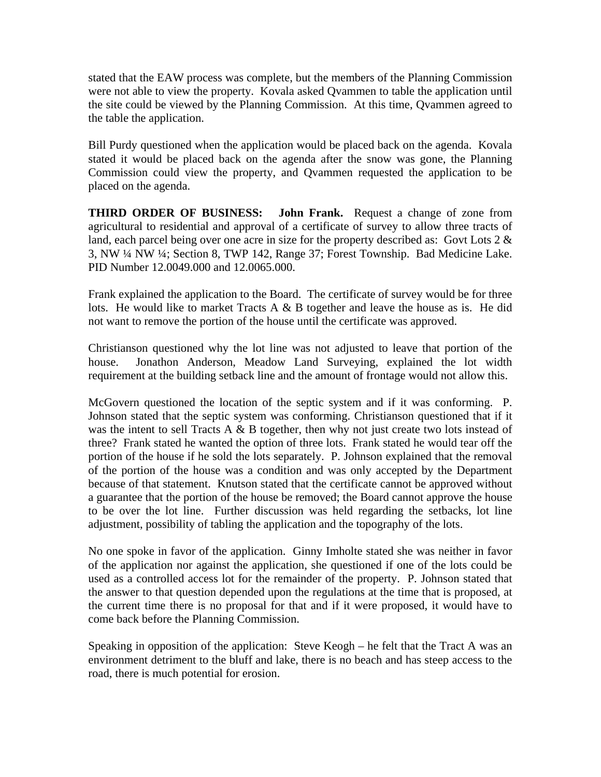stated that the EAW process was complete, but the members of the Planning Commission were not able to view the property. Kovala asked Qvammen to table the application until the site could be viewed by the Planning Commission. At this time, Qvammen agreed to the table the application.

Bill Purdy questioned when the application would be placed back on the agenda. Kovala stated it would be placed back on the agenda after the snow was gone, the Planning Commission could view the property, and Qvammen requested the application to be placed on the agenda.

**THIRD ORDER OF BUSINESS: John Frank.** Request a change of zone from agricultural to residential and approval of a certificate of survey to allow three tracts of land, each parcel being over one acre in size for the property described as: Govt Lots 2 & 3, NW ¼ NW ¼; Section 8, TWP 142, Range 37; Forest Township. Bad Medicine Lake. PID Number 12.0049.000 and 12.0065.000.

Frank explained the application to the Board. The certificate of survey would be for three lots. He would like to market Tracts A & B together and leave the house as is. He did not want to remove the portion of the house until the certificate was approved.

Christianson questioned why the lot line was not adjusted to leave that portion of the house. Jonathon Anderson, Meadow Land Surveying, explained the lot width requirement at the building setback line and the amount of frontage would not allow this.

McGovern questioned the location of the septic system and if it was conforming. P. Johnson stated that the septic system was conforming. Christianson questioned that if it was the intent to sell Tracts A  $\&$  B together, then why not just create two lots instead of three? Frank stated he wanted the option of three lots. Frank stated he would tear off the portion of the house if he sold the lots separately. P. Johnson explained that the removal of the portion of the house was a condition and was only accepted by the Department because of that statement. Knutson stated that the certificate cannot be approved without a guarantee that the portion of the house be removed; the Board cannot approve the house to be over the lot line. Further discussion was held regarding the setbacks, lot line adjustment, possibility of tabling the application and the topography of the lots.

No one spoke in favor of the application. Ginny Imholte stated she was neither in favor of the application nor against the application, she questioned if one of the lots could be used as a controlled access lot for the remainder of the property. P. Johnson stated that the answer to that question depended upon the regulations at the time that is proposed, at the current time there is no proposal for that and if it were proposed, it would have to come back before the Planning Commission.

Speaking in opposition of the application: Steve Keogh – he felt that the Tract A was an environment detriment to the bluff and lake, there is no beach and has steep access to the road, there is much potential for erosion.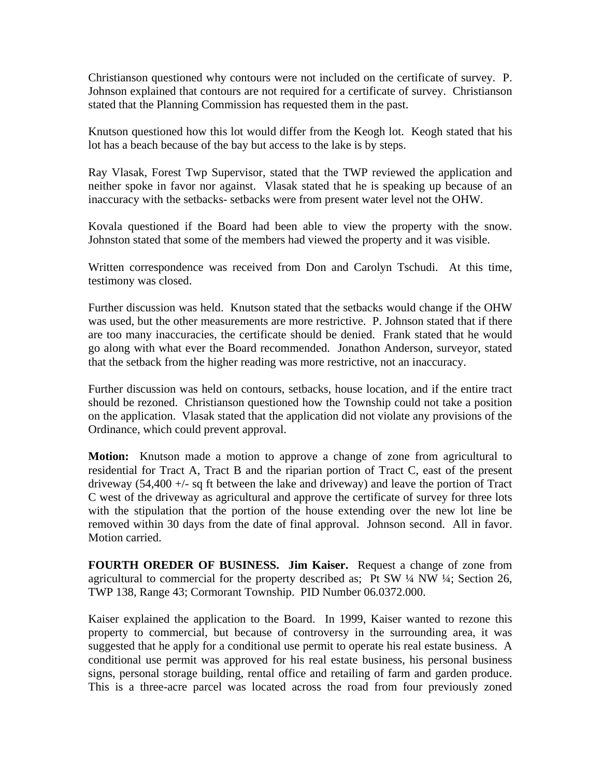Christianson questioned why contours were not included on the certificate of survey. P. Johnson explained that contours are not required for a certificate of survey. Christianson stated that the Planning Commission has requested them in the past.

Knutson questioned how this lot would differ from the Keogh lot. Keogh stated that his lot has a beach because of the bay but access to the lake is by steps.

Ray Vlasak, Forest Twp Supervisor, stated that the TWP reviewed the application and neither spoke in favor nor against. Vlasak stated that he is speaking up because of an inaccuracy with the setbacks- setbacks were from present water level not the OHW.

Kovala questioned if the Board had been able to view the property with the snow. Johnston stated that some of the members had viewed the property and it was visible.

Written correspondence was received from Don and Carolyn Tschudi. At this time, testimony was closed.

Further discussion was held. Knutson stated that the setbacks would change if the OHW was used, but the other measurements are more restrictive. P. Johnson stated that if there are too many inaccuracies, the certificate should be denied. Frank stated that he would go along with what ever the Board recommended. Jonathon Anderson, surveyor, stated that the setback from the higher reading was more restrictive, not an inaccuracy.

Further discussion was held on contours, setbacks, house location, and if the entire tract should be rezoned. Christianson questioned how the Township could not take a position on the application. Vlasak stated that the application did not violate any provisions of the Ordinance, which could prevent approval.

**Motion:** Knutson made a motion to approve a change of zone from agricultural to residential for Tract A, Tract B and the riparian portion of Tract C, east of the present driveway  $(54,400 + - \text{sq ft}$  between the lake and driveway) and leave the portion of Tract C west of the driveway as agricultural and approve the certificate of survey for three lots with the stipulation that the portion of the house extending over the new lot line be removed within 30 days from the date of final approval. Johnson second. All in favor. Motion carried.

**FOURTH OREDER OF BUSINESS. Jim Kaiser.** Request a change of zone from agricultural to commercial for the property described as; Pt SW  $\frac{1}{4}$  NW  $\frac{1}{4}$ ; Section 26, TWP 138, Range 43; Cormorant Township. PID Number 06.0372.000.

Kaiser explained the application to the Board. In 1999, Kaiser wanted to rezone this property to commercial, but because of controversy in the surrounding area, it was suggested that he apply for a conditional use permit to operate his real estate business. A conditional use permit was approved for his real estate business, his personal business signs, personal storage building, rental office and retailing of farm and garden produce. This is a three-acre parcel was located across the road from four previously zoned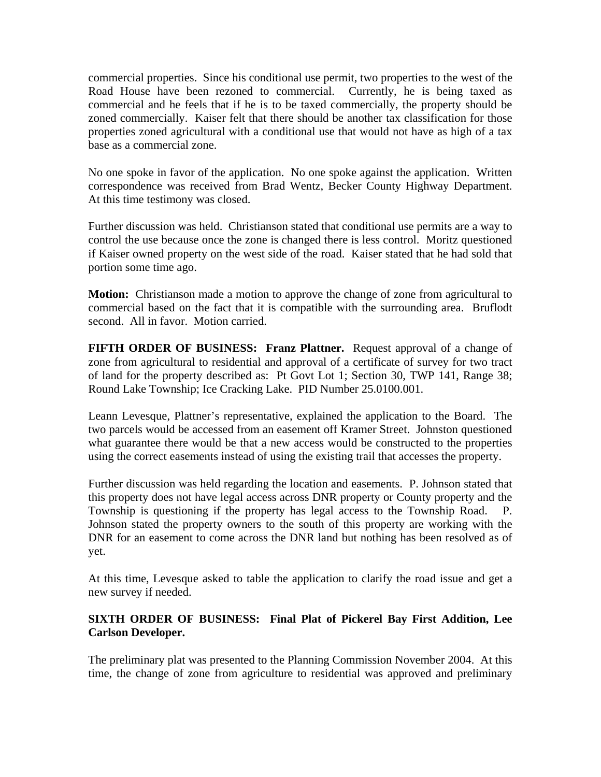commercial properties. Since his conditional use permit, two properties to the west of the Road House have been rezoned to commercial. Currently, he is being taxed as commercial and he feels that if he is to be taxed commercially, the property should be zoned commercially. Kaiser felt that there should be another tax classification for those properties zoned agricultural with a conditional use that would not have as high of a tax base as a commercial zone.

No one spoke in favor of the application. No one spoke against the application. Written correspondence was received from Brad Wentz, Becker County Highway Department. At this time testimony was closed.

Further discussion was held. Christianson stated that conditional use permits are a way to control the use because once the zone is changed there is less control. Moritz questioned if Kaiser owned property on the west side of the road. Kaiser stated that he had sold that portion some time ago.

**Motion:** Christianson made a motion to approve the change of zone from agricultural to commercial based on the fact that it is compatible with the surrounding area. Bruflodt second. All in favor. Motion carried.

**FIFTH ORDER OF BUSINESS: Franz Plattner.** Request approval of a change of zone from agricultural to residential and approval of a certificate of survey for two tract of land for the property described as: Pt Govt Lot 1; Section 30, TWP 141, Range 38; Round Lake Township; Ice Cracking Lake. PID Number 25.0100.001.

Leann Levesque, Plattner's representative, explained the application to the Board. The two parcels would be accessed from an easement off Kramer Street. Johnston questioned what guarantee there would be that a new access would be constructed to the properties using the correct easements instead of using the existing trail that accesses the property.

Further discussion was held regarding the location and easements. P. Johnson stated that this property does not have legal access across DNR property or County property and the Township is questioning if the property has legal access to the Township Road. P. Johnson stated the property owners to the south of this property are working with the DNR for an easement to come across the DNR land but nothing has been resolved as of yet.

At this time, Levesque asked to table the application to clarify the road issue and get a new survey if needed.

# **SIXTH ORDER OF BUSINESS: Final Plat of Pickerel Bay First Addition, Lee Carlson Developer.**

The preliminary plat was presented to the Planning Commission November 2004. At this time, the change of zone from agriculture to residential was approved and preliminary